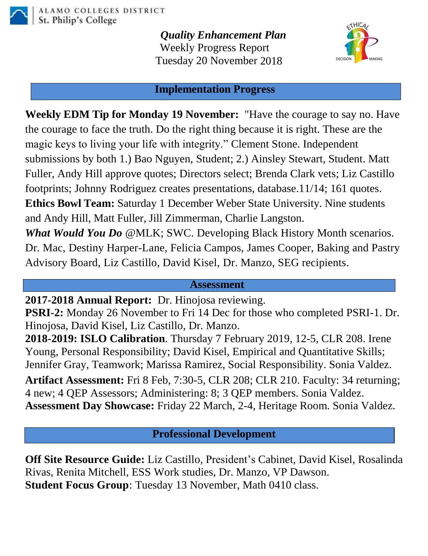

*Quality Enhancement Plan* Weekly Progress Report Tuesday 20 November 2018



## **Implementation Progress**

**Weekly EDM Tip for Monday 19 November:** "Have the courage to say no. Have the courage to face the truth. Do the right thing because it is right. These are the magic keys to living your life with integrity." Clement Stone. Independent submissions by both 1.) Bao Nguyen, Student; 2.) Ainsley Stewart, Student. Matt Fuller, Andy Hill approve quotes; Directors select; Brenda Clark vets; Liz Castillo footprints; Johnny Rodriguez creates presentations, database.11/14; 161 quotes. **Ethics Bowl Team:** Saturday 1 December Weber State University. Nine students and Andy Hill, Matt Fuller, Jill Zimmerman, Charlie Langston. *What Would You Do* @MLK; SWC. Developing Black History Month scenarios. Dr. Mac, Destiny Harper-Lane, Felicia Campos, James Cooper, Baking and Pastry

Advisory Board, Liz Castillo, David Kisel, Dr. Manzo, SEG recipients.

## **Assessment**

**2017-2018 Annual Report:** Dr. Hinojosa reviewing.

**PSRI-2:** Monday 26 November to Fri 14 Dec for those who completed PSRI-1. Dr. Hinojosa, David Kisel, Liz Castillo, Dr. Manzo.

**2018-2019: ISLO Calibration**. Thursday 7 February 2019, 12-5, CLR 208. Irene Young, Personal Responsibility; David Kisel, Empirical and Quantitative Skills; Jennifer Gray, Teamwork; Marissa Ramirez, Social Responsibility. Sonia Valdez.

**Artifact Assessment:** Fri 8 Feb, 7:30-5, CLR 208; CLR 210. Faculty: 34 returning; 4 new; 4 QEP Assessors; Administering: 8; 3 QEP members. Sonia Valdez. **Assessment Day Showcase:** Friday 22 March, 2-4, Heritage Room. Sonia Valdez.

**Professional Development**

**Off Site Resource Guide:** Liz Castillo, President's Cabinet, David Kisel, Rosalinda Rivas, Renita Mitchell, ESS Work studies, Dr. Manzo, VP Dawson. **Student Focus Group**: Tuesday 13 November, Math 0410 class.